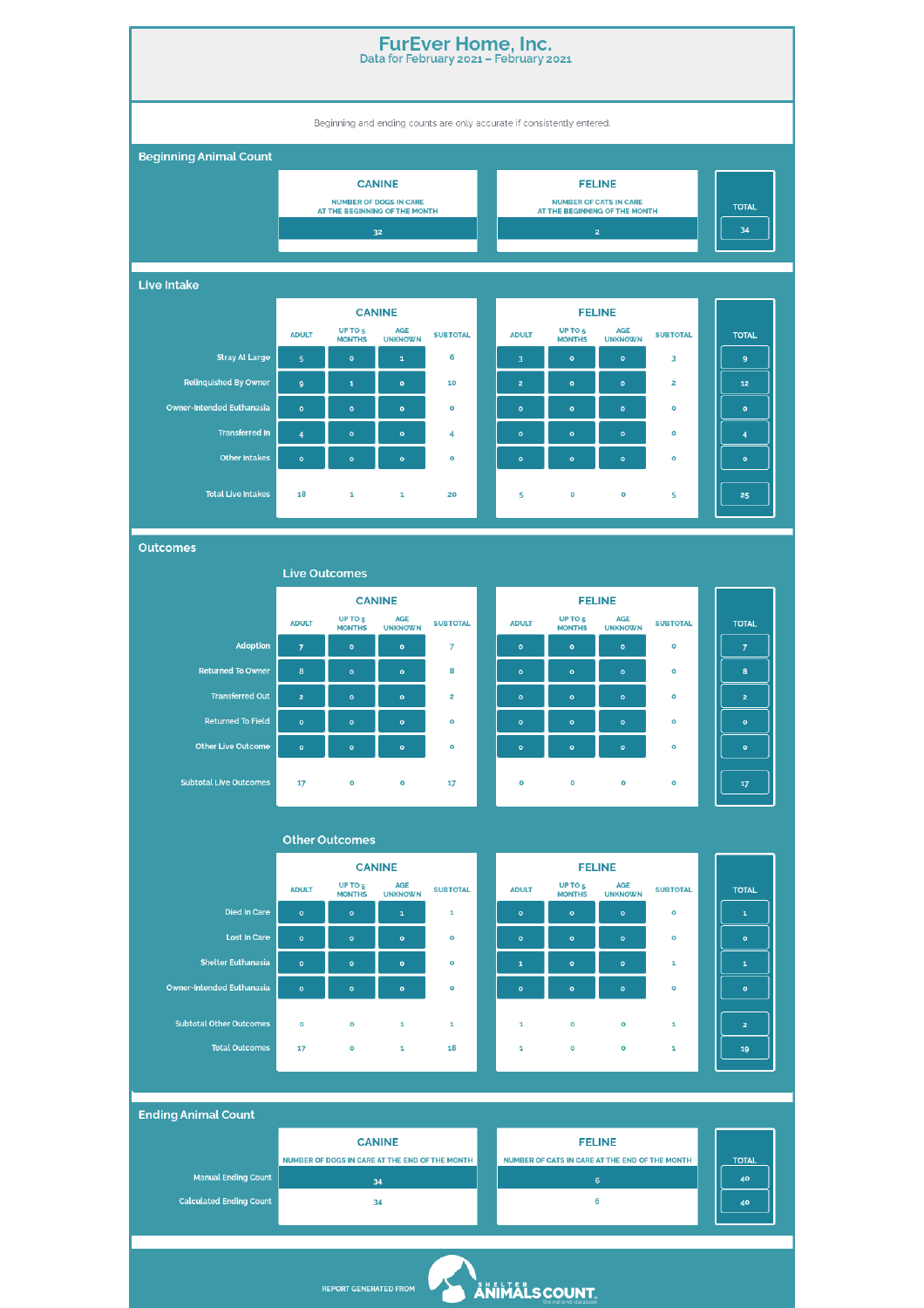| <b>FurEver Home, Inc.</b><br>Data for February 2021 - February 2021    |                                                                                                                                                                                                                                                                                                                                                                                                                         |                                     |                                                                |                         |  |                               |                                     |                                |                                 |                                                                                                                                                                                                                                                                                                                                                                                                                         |  |  |  |
|------------------------------------------------------------------------|-------------------------------------------------------------------------------------------------------------------------------------------------------------------------------------------------------------------------------------------------------------------------------------------------------------------------------------------------------------------------------------------------------------------------|-------------------------------------|----------------------------------------------------------------|-------------------------|--|-------------------------------|-------------------------------------|--------------------------------|---------------------------------|-------------------------------------------------------------------------------------------------------------------------------------------------------------------------------------------------------------------------------------------------------------------------------------------------------------------------------------------------------------------------------------------------------------------------|--|--|--|
| Beginning and ending counts are only accurate if consistently entered. |                                                                                                                                                                                                                                                                                                                                                                                                                         |                                     |                                                                |                         |  |                               |                                     |                                |                                 |                                                                                                                                                                                                                                                                                                                                                                                                                         |  |  |  |
| <b>Beginning Animal Count</b>                                          |                                                                                                                                                                                                                                                                                                                                                                                                                         |                                     |                                                                |                         |  |                               |                                     |                                |                                 |                                                                                                                                                                                                                                                                                                                                                                                                                         |  |  |  |
|                                                                        |                                                                                                                                                                                                                                                                                                                                                                                                                         |                                     | <b>CANINE</b>                                                  |                         |  |                               |                                     |                                |                                 |                                                                                                                                                                                                                                                                                                                                                                                                                         |  |  |  |
|                                                                        |                                                                                                                                                                                                                                                                                                                                                                                                                         |                                     | <b>NUMBER OF DOGS IN CARE</b><br>AT THE BEGINNING OF THE MONTH |                         |  | AT THE BEGINNING OF THE MONTH | <b>TOTAL</b>                        |                                |                                 |                                                                                                                                                                                                                                                                                                                                                                                                                         |  |  |  |
|                                                                        |                                                                                                                                                                                                                                                                                                                                                                                                                         |                                     | 3 <sup>2</sup>                                                 |                         |  |                               | 34                                  |                                |                                 |                                                                                                                                                                                                                                                                                                                                                                                                                         |  |  |  |
| <b>Live Intake</b>                                                     |                                                                                                                                                                                                                                                                                                                                                                                                                         |                                     |                                                                |                         |  |                               |                                     |                                |                                 |                                                                                                                                                                                                                                                                                                                                                                                                                         |  |  |  |
|                                                                        |                                                                                                                                                                                                                                                                                                                                                                                                                         |                                     | <b>CANINE</b>                                                  |                         |  |                               |                                     | <b>FELINE</b>                  |                                 |                                                                                                                                                                                                                                                                                                                                                                                                                         |  |  |  |
|                                                                        | <b>ADULT</b>                                                                                                                                                                                                                                                                                                                                                                                                            | UP TO <sub>5</sub><br><b>MONTHS</b> | AGE<br><b>UNKNOWN</b>                                          | <b>SUBTOTAL</b>         |  | <b>ADULT</b>                  | UP TO <sub>5</sub><br><b>MONTHS</b> | <b>AGE</b><br><b>UNKNOWN</b>   | <b>SUBTOTAL</b>                 | <b>TOTAL</b>                                                                                                                                                                                                                                                                                                                                                                                                            |  |  |  |
| <b>Stray At Large</b>                                                  | ${\bf 5}$                                                                                                                                                                                                                                                                                                                                                                                                               | $\circ$                             | $\mathbf 1$                                                    | 6                       |  | 3                             | $\mathsf{o}$                        | $\mathbf{o}$                   | 3                               | 9                                                                                                                                                                                                                                                                                                                                                                                                                       |  |  |  |
| <b>Relinquished By Owner</b>                                           | $\boldsymbol{9}$                                                                                                                                                                                                                                                                                                                                                                                                        | $\mathbf 1$                         | $\bullet$                                                      | 10                      |  | $\mathbf{z}$                  | $\bullet$                           | $\mathbf{o}$                   | $\overline{\mathbf{z}}$         | 12                                                                                                                                                                                                                                                                                                                                                                                                                      |  |  |  |
| Owner-Intended Euthanasia                                              | $\mathbf{o}$                                                                                                                                                                                                                                                                                                                                                                                                            | $\circ$                             | $\mathbf{o}$                                                   | $\mathbf{o}$            |  | $\circ$                       | $\bullet$                           | $\mathbf{o}$                   | $\mathbf{o}$                    | $\bullet$                                                                                                                                                                                                                                                                                                                                                                                                               |  |  |  |
| <b>Transferred In</b>                                                  | $\overline{\mathbf{4}}$                                                                                                                                                                                                                                                                                                                                                                                                 | $\bullet$                           | $\bullet$                                                      | 4                       |  | $\mathbf{o}$                  | $\mathbf{o}$                        | $\mathbf{o}$                   | $\mathbf{o}$                    | $\overline{\mathbf{4}}$                                                                                                                                                                                                                                                                                                                                                                                                 |  |  |  |
| <b>Other Intakes</b>                                                   | $\bullet$                                                                                                                                                                                                                                                                                                                                                                                                               | $\circ$                             | $\bullet$                                                      | $\mathbf{o}$            |  | $\mathbf{o}$                  | $\bullet$                           | $\mathbf{o}$                   | $\mathbf{o}$                    | $\mathbf{o}$                                                                                                                                                                                                                                                                                                                                                                                                            |  |  |  |
| <b>Total Live Intakes</b>                                              | 18                                                                                                                                                                                                                                                                                                                                                                                                                      | 1                                   | $\mathbf 1$                                                    | 20                      |  | 5                             | $\mathbf{o}$                        | o                              | 5                               | 25                                                                                                                                                                                                                                                                                                                                                                                                                      |  |  |  |
|                                                                        |                                                                                                                                                                                                                                                                                                                                                                                                                         |                                     |                                                                |                         |  |                               |                                     |                                |                                 |                                                                                                                                                                                                                                                                                                                                                                                                                         |  |  |  |
| <b>Outcomes</b>                                                        |                                                                                                                                                                                                                                                                                                                                                                                                                         |                                     |                                                                |                         |  |                               |                                     |                                |                                 |                                                                                                                                                                                                                                                                                                                                                                                                                         |  |  |  |
|                                                                        | <b>Live Outcomes</b>                                                                                                                                                                                                                                                                                                                                                                                                    |                                     |                                                                |                         |  |                               |                                     |                                |                                 |                                                                                                                                                                                                                                                                                                                                                                                                                         |  |  |  |
|                                                                        | <b>ADULT</b>                                                                                                                                                                                                                                                                                                                                                                                                            | UP TO <sub>5</sub>                  | <b>CANINE</b><br><b>AGE</b>                                    | <b>SUBTOTAL</b>         |  | <b>ADULT</b>                  | <b>TOTAL</b>                        |                                |                                 |                                                                                                                                                                                                                                                                                                                                                                                                                         |  |  |  |
| <b>Adoption</b>                                                        | $\overline{7}$                                                                                                                                                                                                                                                                                                                                                                                                          | <b>MONTHS</b><br>$\mathbf{o}$       | <b>UNKNOWN</b><br>$\mathbf{o}$                                 | $\overline{7}$          |  | $\mathbf{o}$                  | <b>MONTHS</b><br>$\bullet$          | <b>UNKNOWN</b><br>$\mathbf{o}$ | <b>SUBTOTAL</b><br>$\mathbf{o}$ | $\overline{7}$                                                                                                                                                                                                                                                                                                                                                                                                          |  |  |  |
| <b>Returned To Owner</b>                                               | 8                                                                                                                                                                                                                                                                                                                                                                                                                       | $\mathbf{o}$                        | $\mathbf{o}$                                                   | 8                       |  | $\mathbf{o}$                  | $\mathsf{o}$                        | $\mathbf{o}$                   | o                               | 8                                                                                                                                                                                                                                                                                                                                                                                                                       |  |  |  |
| <b>Transferred Out</b>                                                 | $\mathbf{2}% =\mathbf{2}+\mathbf{2}+\mathbf{3}+\mathbf{4}+\mathbf{5}+\mathbf{5}+\mathbf{5}+\mathbf{6}+\mathbf{6}+\mathbf{5}+\mathbf{6}+\mathbf{5}+\mathbf{6}+\mathbf{6}+\mathbf{5}+\mathbf{5}+\mathbf{6}+\mathbf{6}+\mathbf{6}+\mathbf{6}+\mathbf{5}+\mathbf{6}+\mathbf{6}+\mathbf{6}+\mathbf{6}+\mathbf{6}+\mathbf{6}+\mathbf{6}+\mathbf{6}+\mathbf{6}+\mathbf{6}+\mathbf{6}+\mathbf{6}+\mathbf{6}+\mathbf{6}+\mathbf$ | $\mathbf{o}$                        | $\bullet$                                                      | $\overline{\mathbf{z}}$ |  | $\mathbf{o}$                  | $\mathbf{o}$                        | $\mathbf{o}$                   | $\mathbf{o}$                    | $\mathbf{2}% =\mathbf{2}+\mathbf{2}+\mathbf{3}+\mathbf{4}+\mathbf{5}+\mathbf{5}+\mathbf{5}+\mathbf{6}+\mathbf{6}+\mathbf{5}+\mathbf{6}+\mathbf{5}+\mathbf{6}+\mathbf{6}+\mathbf{5}+\mathbf{6}+\mathbf{6}+\mathbf{5}+\mathbf{6}+\mathbf{6}+\mathbf{6}+\mathbf{5}+\mathbf{6}+\mathbf{6}+\mathbf{6}+\mathbf{6}+\mathbf{6}+\mathbf{6}+\mathbf{6}+\mathbf{6}+\mathbf{6}+\mathbf{6}+\mathbf{6}+\mathbf{6}+\mathbf{6}+\mathbf$ |  |  |  |
| <b>Returned To Field</b>                                               | $\bullet$                                                                                                                                                                                                                                                                                                                                                                                                               | $\mathbf{o}$                        | $\mathbf{o}$                                                   | $\mathbf{o}$            |  | $\mathbf{o}$                  | $\bullet$                           | $\mathbf{o}$                   | $\mathbf{o}$                    | $\mathbf{o}$                                                                                                                                                                                                                                                                                                                                                                                                            |  |  |  |
| <b>Other Live Outcome</b>                                              | $\bullet$                                                                                                                                                                                                                                                                                                                                                                                                               | $\bullet$                           | $\bullet$                                                      | $\mathbf{o}$            |  | $\mathbf{o}$                  | $\bullet$                           | $\mathbf{o}$                   | $\mathbf{o}$                    | $\bullet$                                                                                                                                                                                                                                                                                                                                                                                                               |  |  |  |
| <b>Subtotal Live Outcomes</b>                                          | 17                                                                                                                                                                                                                                                                                                                                                                                                                      | O                                   | $\mathbf{o}$                                                   | 17                      |  | $\mathbf{o}$                  | $\mathbf{o}$                        | o                              | $\mathbf{o}$                    | $\bf 17$                                                                                                                                                                                                                                                                                                                                                                                                                |  |  |  |
|                                                                        |                                                                                                                                                                                                                                                                                                                                                                                                                         |                                     |                                                                |                         |  |                               |                                     |                                |                                 |                                                                                                                                                                                                                                                                                                                                                                                                                         |  |  |  |
|                                                                        |                                                                                                                                                                                                                                                                                                                                                                                                                         |                                     |                                                                |                         |  |                               |                                     |                                |                                 |                                                                                                                                                                                                                                                                                                                                                                                                                         |  |  |  |
|                                                                        |                                                                                                                                                                                                                                                                                                                                                                                                                         | <b>Other Outcomes</b>               |                                                                |                         |  |                               |                                     |                                |                                 |                                                                                                                                                                                                                                                                                                                                                                                                                         |  |  |  |
|                                                                        |                                                                                                                                                                                                                                                                                                                                                                                                                         |                                     | <b>CANINE</b>                                                  |                         |  |                               |                                     | <b>FELINE</b>                  |                                 |                                                                                                                                                                                                                                                                                                                                                                                                                         |  |  |  |
|                                                                        | <b>ADULT</b>                                                                                                                                                                                                                                                                                                                                                                                                            | UP TO <sub>5</sub><br><b>MONTHS</b> | <b>AGE</b><br><b>UNKNOWN</b>                                   | <b>SUBTOTAL</b>         |  | <b>ADULT</b>                  | UP TO <sub>5</sub><br><b>MONTHS</b> | <b>AGE</b><br><b>UNKNOWN</b>   | <b>SUBTOTAL</b>                 | <b>TOTAL</b>                                                                                                                                                                                                                                                                                                                                                                                                            |  |  |  |
| <b>Died In Care</b>                                                    | $\bullet$                                                                                                                                                                                                                                                                                                                                                                                                               | $\circ$                             | $\mathbf 1$                                                    | $\mathbf{1}$            |  | $\mathbf{o}$                  | $\bullet$                           | $\mathbf{o}$                   | $\mathbf{o}$                    | $\mathbf 1$                                                                                                                                                                                                                                                                                                                                                                                                             |  |  |  |
| <b>Lost In Care</b>                                                    | $\mathbf{o}$                                                                                                                                                                                                                                                                                                                                                                                                            | $\bullet$                           | $\bullet$                                                      | $\mathbf{o}$            |  | $\mathbf{o}$                  | $\bullet$                           | $\mathbf{o}$                   | $\mathbf{o}$                    | $\circ$                                                                                                                                                                                                                                                                                                                                                                                                                 |  |  |  |
| <b>Shelter Euthanasia</b>                                              | $\mathbf{o}$                                                                                                                                                                                                                                                                                                                                                                                                            | $\bullet$                           | $\bullet$                                                      | $\mathbf{o}$            |  | $\mathbf 1$                   | $\mathbf{o}$                        | $\mathbf{o}$                   | 1                               | $\mathbf 1$                                                                                                                                                                                                                                                                                                                                                                                                             |  |  |  |
| Owner-Intended Euthanasia                                              | $\bullet$                                                                                                                                                                                                                                                                                                                                                                                                               | $\mathbf{o}$                        | $\bullet$                                                      | $\mathbf{o}$            |  | $\mathbf{o}$                  | $\bullet$                           | $\mathbf{o}$                   | $\mathbf{o}$                    | $\bullet$                                                                                                                                                                                                                                                                                                                                                                                                               |  |  |  |
| <b>Subtotal Other Outcomes</b>                                         | $\mathbf{o}$                                                                                                                                                                                                                                                                                                                                                                                                            | $\mathbf{o}$                        | $\mathbf 1$                                                    | $\mathbf 1$             |  | $\mathbf 1$                   | $\mathbf{o}$                        | $\mathbf{o}$                   | $\mathbf 1$                     | $\overline{\mathbf{z}}$                                                                                                                                                                                                                                                                                                                                                                                                 |  |  |  |

**Ending Animal Count CANINE FELINE** NUMBER OF DOGS IN CARE AT THE END OF THE MONTH NUMBER OF CATS IN CARE AT THE END OF THE MONTH **TOTAL** Manual Ending Count  $34$ **Calculated Ending Count**  $34$  $6\overline{6}$ 

REPORT GENERATED FROM ANIMALS COUNT.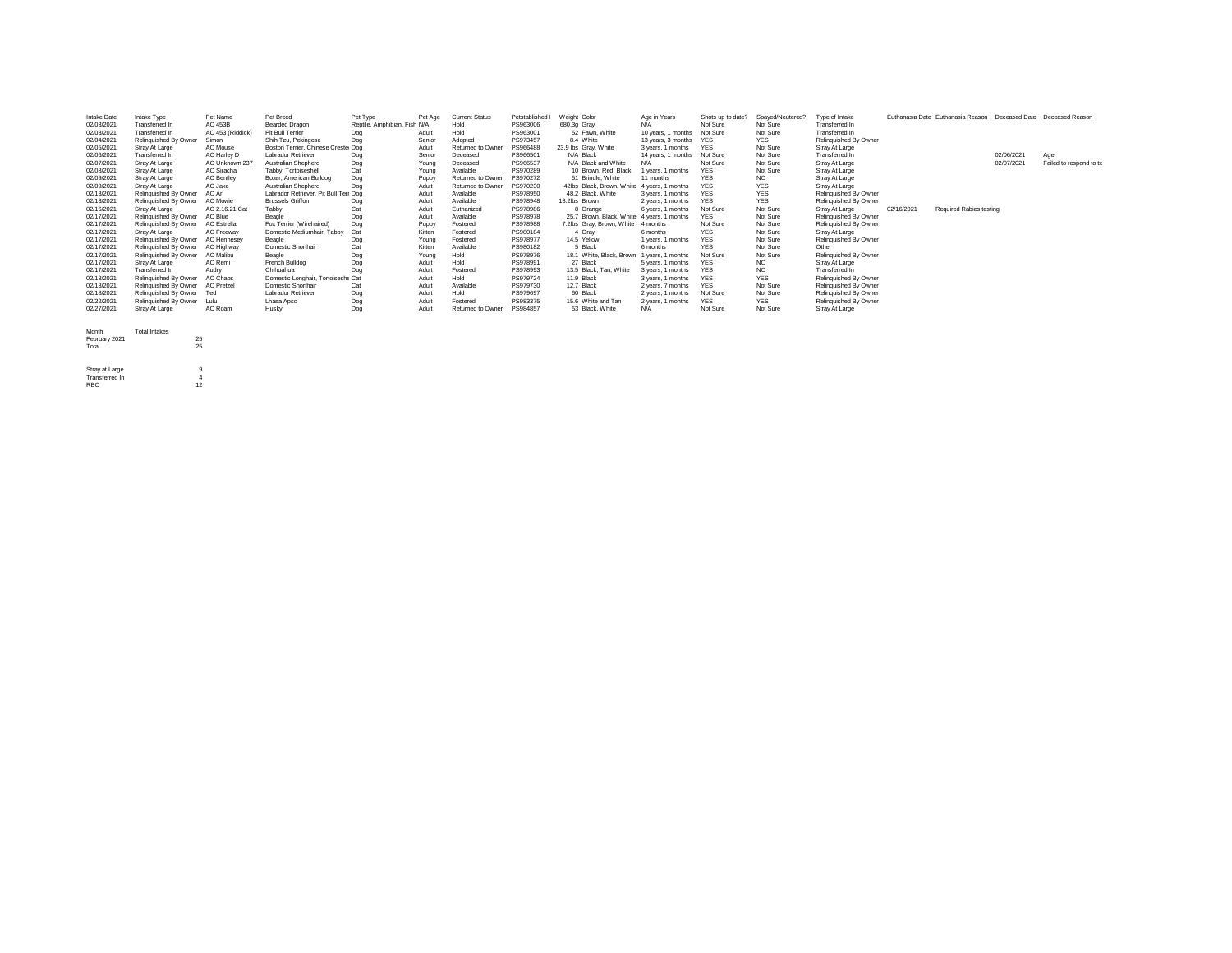| Intake Date | Intake Type           | Pet Name           | Pet Breed                             | Pet Type                     | Pet Age | <b>Current Status</b> | Petstablished | Weight Color                               | Age in Years       | Shots up to date? | Spayed/Neutered? | Type of Intake        |            | Euthanasia Date Euthanasia Reason | Deceased Date | Deceased Reason         |
|-------------|-----------------------|--------------------|---------------------------------------|------------------------------|---------|-----------------------|---------------|--------------------------------------------|--------------------|-------------------|------------------|-----------------------|------------|-----------------------------------|---------------|-------------------------|
| 02/03/2021  | Transferred In        | AC 453B            | Bearded Dragon                        | Reptile, Amphibian, Fish N/A |         | Hold                  | PS963006      | 680.3g Gray                                | N/A                | Not Sure          | Not Sure         | Transferred In        |            |                                   |               |                         |
| 02/03/2021  | Transferred In        | AC 453 (Riddick)   | Pit Bull Terrier                      | Dog                          | Adult   | Hold                  | PS963001      | 52 Fawn, White                             | 10 years, 1 months | Not Sure          | Not Sure         | Transferred In        |            |                                   |               |                         |
| 02/04/2021  | Relinguished By Owner | Simon              | Shih Tzu, Pekingese                   | Dog                          | Senior  | Adopted               | PS973457      | 8.4 White                                  | 13 years, 3 months | <b>YES</b>        | <b>YES</b>       | Relinguished By Owner |            |                                   |               |                         |
| 02/05/2021  | Stray At Large        | AC Mouse           | Boston Terrier, Chinese Crester Dog   |                              | Adult   | Returned to Owner     | PS966488      | 23.9 lbs Grav. White                       | 3 years, 1 months  | <b>YES</b>        | Not Sure         | Stray At Large        |            |                                   |               |                         |
| 02/06/2021  | <b>Transferred In</b> | AC Harley D        | Labrador Retriever                    | Dog                          | Senior  | Deceased              | PS966501      | N/A Black                                  | 14 years, 1 months | Not Sure          | Not Sure         | Transferred In        |            |                                   | 02/06/2021    | Age                     |
| 02/07/2021  | Stray At Large        | AC Unknown 237     | Australian Shepherd                   | Dog                          | Young   | Deceased              | PS966537      | N/A Black and White                        | N/A                | Not Sure          | Not Sure         | Stray At Large        |            |                                   | 02/07/2021    | Failed to respond to tx |
| 02/08/2021  | Stray At Large        | AC Siracha         | Tabby, Tortoiseshell                  | Cat                          | Young   | Available             | PS970289      | 10 Brown, Red, Black                       | 1 years, 1 months  | <b>YES</b>        | Not Sure         | Stray At Large        |            |                                   |               |                         |
| 02/09/2021  | Stray At Large        | <b>AC Bentley</b>  | Boxer, American Bulldog               | Dog                          | Puppy   | Returned to Owner     | PS970272      | 51 Brindle, White                          | 11 months          | <b>YES</b>        | NO.              | Stray At Large        |            |                                   |               |                         |
| 02/09/2021  | Stray At Large        | AC Jake            | Australian Shepherd                   | Dog                          | Adult   | Returned to Owner     | PS970230      | 42lbs Black, Brown, White                  | 4 years, 1 months  | <b>YES</b>        | <b>YES</b>       | Stray At Large        |            |                                   |               |                         |
| 02/13/2021  | Relinquished By Owner | AC Ari             | Labrador Retriever, Pit Bull Terr Dog |                              | Adult   | Available             | PS978950      | 48.2 Black, White                          | 3 years, 1 months  | <b>YES</b>        | <b>YES</b>       | Relinquished By Owner |            |                                   |               |                         |
| 02/13/2021  | Relinguished By Owner | AC Mowie           | <b>Brussels Griffon</b>               | Dog                          | Adult   | Available             | PS978948      | 18.2lbs Brown                              | 2 years, 1 months  | <b>YES</b>        | <b>YES</b>       | Relinquished By Owner |            |                                   |               |                         |
| 02/16/2021  | Stray At Large        | AC 2.16.21 Cat     | Tabby                                 | Cat                          | Adult   | Euthanized            | PS978986      | 8 Orange                                   | 6 years, 1 months  | Not Sure          | Not Sure         | Stray At Large        | 02/16/2021 | Required Rabies testing           |               |                         |
| 02/17/2021  | Relinguished By Owner | AC Blue            | Beagle                                | Dog                          | Adult   | Available             | PS978978      | 25.7 Brown, Black, White 4 years, 1 months |                    | <b>YES</b>        | Not Sure         | Relinguished By Owner |            |                                   |               |                         |
| 02/17/2021  | Relinguished By Owner | <b>AC Estrella</b> | Fox Terrier (Wirehaired)              | Dog                          | Puppy   | Fostered              | PS978988      | 7.2lbs Grav. Brown. White                  | 4 months           | Not Sure          | Not Sure         | Relinquished By Owner |            |                                   |               |                         |
| 02/17/2021  | Stray At Large        | AC Freeway         | Domestic Mediumhair, Tabby            | Cat                          | Kitten  | Fostered              | PS980184      | 4 Grav                                     | 6 months           | <b>YES</b>        | Not Sure         | Stray At Large        |            |                                   |               |                         |
| 02/17/2021  | Relinquished By Owner | AC Hennesev        | Beagle                                | Dog                          | Young   | Fostered              | PS978977      | 14.5 Yellow                                | 1 years, 1 months  | <b>YES</b>        | Not Sure         | Relinquished By Owner |            |                                   |               |                         |
| 02/17/2021  | Relinguished By Owner | AC Highway         | Domestic Shorthair                    | Cat                          | Kitten  | Available             | PS980182      | 5 Black                                    | 6 months           | <b>YES</b>        | Not Sure         | Other                 |            |                                   |               |                         |
| 02/17/2021  | Relinguished By Owner | AC Malibu          | Beagle                                | Dog                          | Young   | Hold                  | PS978976      | 18.1 White, Black, Brown                   | 1 years, 1 months  | Not Sure          | Not Sure         | Relinquished By Owner |            |                                   |               |                         |
| 02/17/2021  | Stray At Large        | AC Remi            | French Bulldog                        | Dog                          | Adult   | Hold                  | PS978991      | 27 Black                                   | 5 years, 1 months  | <b>YES</b>        | NO.              | Stray At Large        |            |                                   |               |                         |
| 02/17/2021  | Transferred In        | Audry              | Chihuahua                             | Dog                          | Adult   | Fostered              | PS978993      | 13.5 Black, Tan, White                     | 3 years, 1 months  | <b>YFS</b>        | NO.              | Transferred In        |            |                                   |               |                         |
| 02/18/2021  | Relinquished By Owner | AC Chaos           | Domestic Longhair, Tortoiseshe Cat    |                              | Adult   | Hold                  | PS979724      | 11.9 Black                                 | 3 years, 1 months  | <b>YES</b>        | <b>YES</b>       | Relinquished By Owner |            |                                   |               |                         |
| 02/18/2021  | Relinquished By Owner | <b>AC Pretzel</b>  | Domestic Shorthair                    | Cat                          | Adult   | Available             | PS979730      | 12.7 Black                                 | 2 years, 7 months  | <b>YES</b>        | Not Sure         | Relinquished By Owner |            |                                   |               |                         |
| 02/18/2021  | Relinquished By Owner | Ted                | Labrador Retriever                    | Dog                          | Adult   | Hold                  | PS979697      | 60 Black                                   | 2 years, 1 months  | Not Sure          | Not Sure         | Relinquished By Owner |            |                                   |               |                         |
| 02/22/2021  | Relinguished By Owner | Lulu               | Lhasa Apso                            | Dog                          | Adult   | Fostered              | PS983375      | 15.6 White and Tan                         | 2 years, 1 months  | <b>YES</b>        | <b>YES</b>       | Relinquished By Owner |            |                                   |               |                         |
| 02/27/2021  | Stray At Large        | AC Roam            | Husky                                 | Dog                          | Adult   | Returned to Owner     | PS984857      | 53 Black, White                            | N/A                | Not Sure          | Not Sure         | Stray At Large        |            |                                   |               |                         |

- Month Total Intakes February 2021 25 Total 25
- 

Stray at Large 9 Transferred In 4 RBO 12